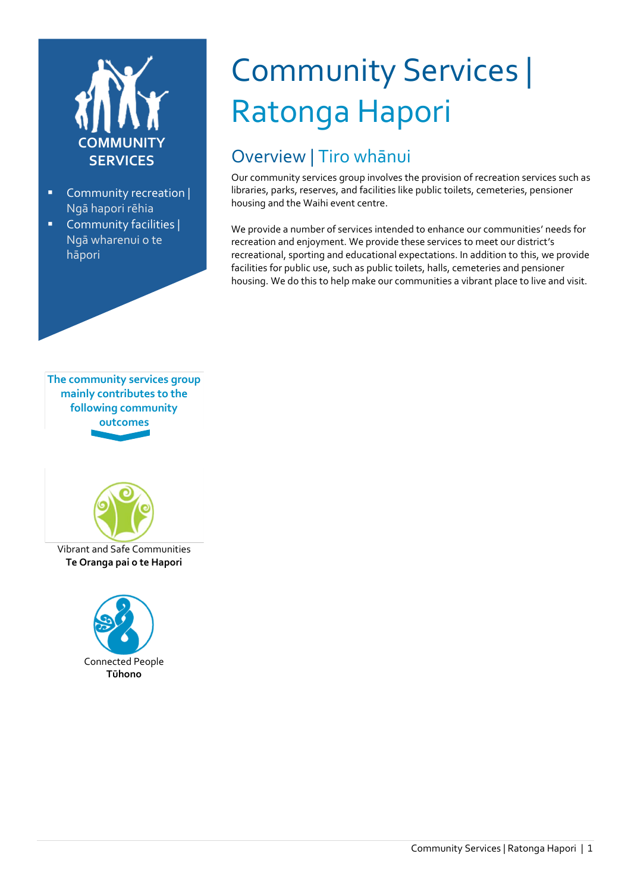

- Community recreation | Ngā hapori rēhia
- Community facilities | Ngā wharenui o te hāpori



## Overview | Tiro whānui

Our community services group involves the provision of recreation services such as libraries, parks, reserves, and facilities like public toilets, cemeteries, pensioner housing and the Waihi event centre.

We provide a number of services intended to enhance our communities' needs for recreation and enjoyment. We provide these services to meet our district's recreational, sporting and educational expectations. In addition to this, we provide facilities for public use, such as public toilets, halls, cemeteries and pensioner housing. We do this to help make our communities a vibrant place to live and visit.

**The community services group mainly contributes to the following community outcomes**



Vibrant and Safe Communities **Te Oranga pai o te Hapori**

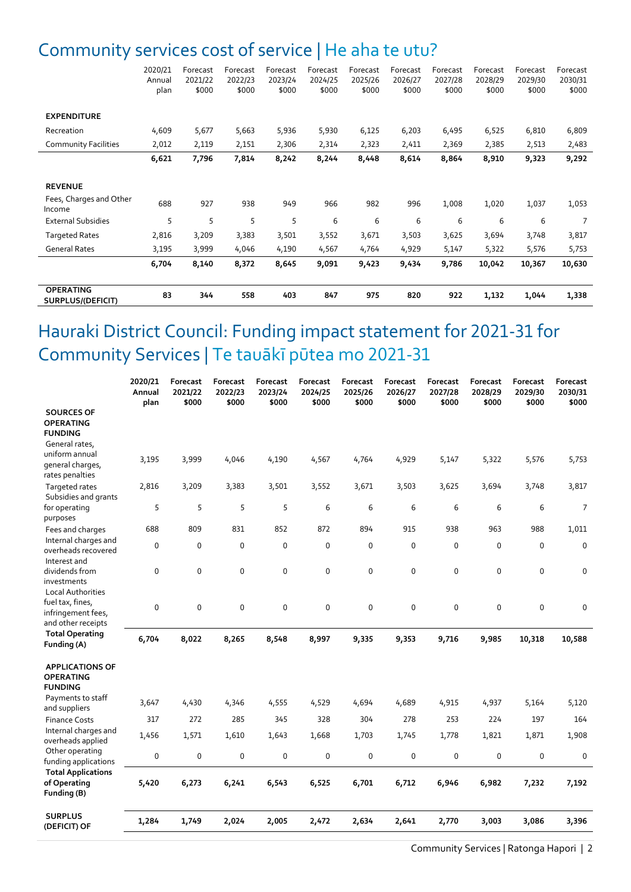### Community services cost of service | He aha te utu?

|                                       | 2020/21<br>Annual<br>plan | Forecast<br>2021/22<br>\$000 | Forecast<br>2022/23<br>\$000 | Forecast<br>2023/24<br>\$000 | Forecast<br>2024/25<br>\$000 | Forecast<br>2025/26<br>\$000 | Forecast<br>2026/27<br>\$000 | Forecast<br>2027/28<br>\$000 | Forecast<br>2028/29<br>\$000 | Forecast<br>2029/30<br>\$000 | Forecast<br>2030/31<br>\$000 |
|---------------------------------------|---------------------------|------------------------------|------------------------------|------------------------------|------------------------------|------------------------------|------------------------------|------------------------------|------------------------------|------------------------------|------------------------------|
| <b>EXPENDITURE</b><br>Recreation      | 4,609                     | 5,677                        | 5,663                        | 5,936                        | 5,930                        | 6,125                        | 6,203                        | 6,495                        | 6,525                        | 6,810                        | 6,809                        |
| <b>Community Facilities</b>           | 2,012                     | 2,119                        | 2,151                        | 2,306                        | 2,314                        | 2,323                        | 2,411                        | 2,369                        | 2,385                        | 2,513                        | 2,483                        |
|                                       | 6,621                     | 7,796                        | 7,814                        | 8,242                        | 8,244                        | 8,448                        | 8,614                        | 8,864                        | 8,910                        | 9,323                        | 9,292                        |
|                                       |                           |                              |                              |                              |                              |                              |                              |                              |                              |                              |                              |
| <b>REVENUE</b>                        |                           |                              |                              |                              |                              |                              |                              |                              |                              |                              |                              |
| Fees, Charges and Other<br>Income     | 688                       | 927                          | 938                          | 949                          | 966                          | 982                          | 996                          | 1,008                        | 1,020                        | 1,037                        | 1,053                        |
| <b>External Subsidies</b>             | 5                         | 5                            | 5                            | 5                            | 6                            | 6                            | 6                            | 6                            | 6                            | 6                            | 7                            |
| <b>Targeted Rates</b>                 | 2,816                     | 3,209                        | 3,383                        | 3,501                        | 3,552                        | 3,671                        | 3,503                        | 3,625                        | 3,694                        | 3,748                        | 3,817                        |
| <b>General Rates</b>                  | 3,195                     | 3,999                        | 4,046                        | 4,190                        | 4,567                        | 4,764                        | 4,929                        | 5,147                        | 5,322                        | 5,576                        | 5,753                        |
|                                       | 6,704                     | 8,140                        | 8,372                        | 8,645                        | 9,091                        | 9,423                        | 9,434                        | 9,786                        | 10,042                       | 10,367                       | 10,630                       |
| <b>OPERATING</b><br>SURPLUS/(DEFICIT) | 83                        | 344                          | 558                          | 403                          | 847                          | 975                          | 820                          | 922                          | 1,132                        | 1,044                        | 1,338                        |

## Hauraki District Council: Funding impact statement for 2021-31 for Community Services | Te tauākī pūtea mo 2021-31

|                                                                           | 2020/21<br>Annual<br>plan | Forecast<br>2021/22<br>\$000 | Forecast<br>2022/23<br>\$000 | Forecast<br>2023/24<br>\$000 | Forecast<br>2024/25<br>\$000 | Forecast<br>2025/26<br>\$000 | Forecast<br>2026/27<br>\$000 | Forecast<br>2027/28<br>\$000 | Forecast<br>2028/29<br>\$000 | Forecast<br>2029/30<br>\$000 | Forecast<br>2030/31<br>\$000 |
|---------------------------------------------------------------------------|---------------------------|------------------------------|------------------------------|------------------------------|------------------------------|------------------------------|------------------------------|------------------------------|------------------------------|------------------------------|------------------------------|
| <b>SOURCES OF</b><br><b>OPERATING</b><br><b>FUNDING</b><br>General rates, |                           |                              |                              |                              |                              |                              |                              |                              |                              |                              |                              |
| uniform annual<br>general charges,<br>rates penalties                     | 3,195                     | 3,999                        | 4,046                        | 4,190                        | 4,567                        | 4,764                        | 4,929                        | 5,147                        | 5,322                        | 5,576                        | 5,753                        |
| Targeted rates<br>Subsidies and grants                                    | 2,816                     | 3,209                        | 3,383                        | 3,501                        | 3,552                        | 3,671                        | 3,503                        | 3,625                        | 3,694                        | 3,748                        | 3,817                        |
| for operating<br>purposes                                                 | 5                         | 5                            | 5                            | 5                            | 6                            | 6                            | 6                            | 6                            | 6                            | 6                            | $\overline{7}$               |
| Fees and charges                                                          | 688                       | 809                          | 831                          | 852                          | 872                          | 894                          | 915                          | 938                          | 963                          | 988                          | 1,011                        |
| Internal charges and<br>overheads recovered<br>Interest and               | $\mathbf 0$               | 0                            | $\mathbf 0$                  | 0                            | $\mathbf 0$                  | $\mathbf 0$                  | $\mathsf 0$                  | 0                            | 0                            | $\mathbf 0$                  | $\mathbf 0$                  |
| dividends from<br>investments<br>Local Authorities                        | $\mathbf 0$               | 0                            | 0                            | 0                            | 0                            | 0                            | 0                            | 0                            | 0                            | 0                            | 0                            |
| fuel tax, fines,<br>infringement fees,<br>and other receipts              | $\mathbf 0$               | 0                            | 0                            | 0                            | 0                            | $\mathbf 0$                  | $\mathsf 0$                  | 0                            | 0                            | 0                            | $\mathbf 0$                  |
| <b>Total Operating</b><br>Funding (A)                                     | 6,704                     | 8,022                        | 8,265                        | 8,548                        | 8,997                        | 9,335                        | 9,353                        | 9,716                        | 9,985                        | 10,318                       | 10,588                       |
| <b>APPLICATIONS OF</b><br><b>OPERATING</b><br><b>FUNDING</b>              |                           |                              |                              |                              |                              |                              |                              |                              |                              |                              |                              |
| Payments to staff<br>and suppliers                                        | 3,647                     | 4,430                        | 4,346                        | 4,555                        | 4,529                        | 4,694                        | 4,689                        | 4,915                        | 4,937                        | 5,164                        | 5,120                        |
| <b>Finance Costs</b>                                                      | 317                       | 272                          | 285                          | 345                          | 328                          | 304                          | 278                          | 253                          | 224                          | 197                          | 164                          |
| Internal charges and<br>overheads applied                                 | 1,456                     | 1,571                        | 1,610                        | 1,643                        | 1,668                        | 1,703                        | 1,745                        | 1,778                        | 1,821                        | 1,871                        | 1,908                        |
| Other operating<br>funding applications                                   | 0                         | 0                            | 0                            | 0                            | 0                            | 0                            | 0                            | 0                            | 0                            | 0                            | 0                            |
| <b>Total Applications</b><br>of Operating<br>Funding (B)                  | 5,420                     | 6,273                        | 6,241                        | 6,543                        | 6,525                        | 6,701                        | 6,712                        | 6,946                        | 6,982                        | 7,232                        | 7,192                        |
| <b>SURPLUS</b><br>(DEFICIT) OF                                            | 1,284                     | 1,749                        | 2,024                        | 2,005                        | 2,472                        | 2,634                        | 2,641                        | 2,770                        | 3,003                        | 3,086                        | 3,396                        |
|                                                                           |                           |                              |                              |                              |                              |                              |                              |                              |                              |                              |                              |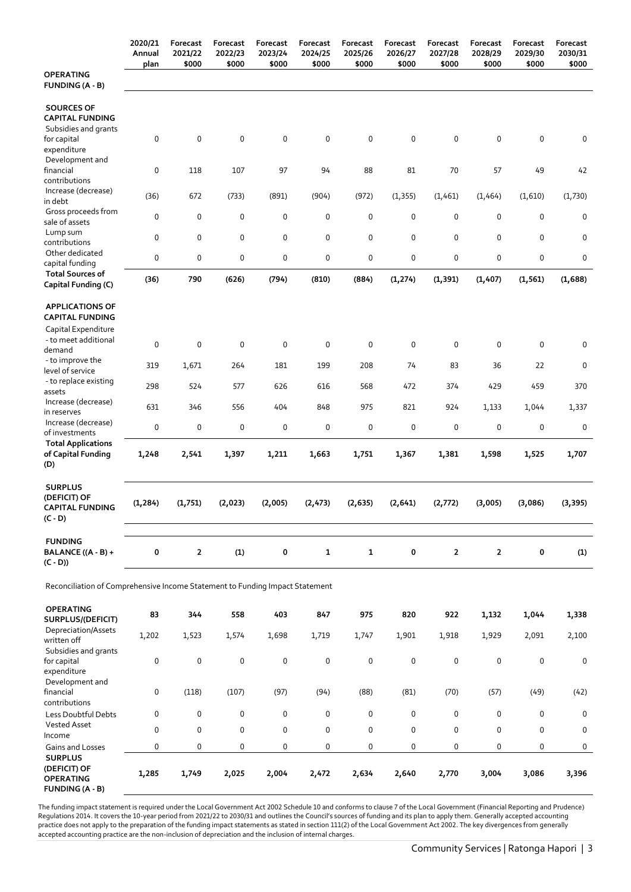|                                                                              | 2020/21<br>Annual<br>plan | Forecast<br>2021/22<br>\$000 | Forecast<br>2022/23<br>\$000 | Forecast<br>2023/24<br>\$000 | Forecast<br>2024/25<br>\$000 | Forecast<br>2025/26<br>\$000 | Forecast<br>2026/27<br>\$000 | Forecast<br>2027/28<br>\$000 | Forecast<br>2028/29<br>\$000 | Forecast<br>2029/30<br>\$000 | Forecast<br>2030/31<br>\$000 |
|------------------------------------------------------------------------------|---------------------------|------------------------------|------------------------------|------------------------------|------------------------------|------------------------------|------------------------------|------------------------------|------------------------------|------------------------------|------------------------------|
| <b>OPERATING</b><br><b>FUNDING (A - B)</b>                                   |                           |                              |                              |                              |                              |                              |                              |                              |                              |                              |                              |
| <b>SOURCES OF</b><br><b>CAPITAL FUNDING</b><br>Subsidies and grants          |                           |                              |                              |                              |                              |                              |                              |                              |                              |                              |                              |
| for capital<br>expenditure<br>Development and                                | 0                         | 0                            | 0                            | 0                            | 0                            | $\mathbf 0$                  | $\pmb{0}$                    | 0                            | 0                            | 0                            | 0                            |
| financial<br>contributions                                                   | 0                         | 118                          | 107                          | 97                           | 94                           | 88                           | 81                           | 70                           | 57                           | 49                           | 42                           |
| Increase (decrease)<br>in debt                                               | (36)                      | 672                          | (733)                        | (891)                        | (904)                        | (972)                        | (1, 355)                     | (1,461)                      | (1,464)                      | (1,610)                      | (1,730)                      |
| Gross proceeds from<br>sale of assets<br>Lump sum                            | 0                         | 0                            | 0                            | 0                            | 0                            | $\mathbf 0$                  | $\pmb{0}$                    | 0                            | 0                            | $\mathbf 0$                  | 0                            |
| contributions<br>Other dedicated                                             | 0<br>0                    | 0<br>0                       | 0<br>0                       | 0<br>0                       | 0<br>0                       | $\mathbf 0$<br>$\pmb{0}$     | 0<br>0                       | 0<br>0                       | 0<br>0                       | $\mathbf 0$<br>0             | 0<br>0                       |
| capital funding<br><b>Total Sources of</b><br>Capital Funding (C)            | (36)                      | 790                          | (626)                        | (794)                        | (810)                        | (884)                        | (1, 274)                     | (1, 391)                     | (1, 407)                     | (1, 561)                     | (1,688)                      |
| <b>APPLICATIONS OF</b><br><b>CAPITAL FUNDING</b>                             |                           |                              |                              |                              |                              |                              |                              |                              |                              |                              |                              |
| Capital Expenditure<br>- to meet additional<br>demand                        | 0                         | 0                            | 0                            | 0                            | $\mathbf 0$                  | $\mathbf 0$                  | 0                            | 0                            | 0                            | $\mathbf 0$                  | 0                            |
| - to improve the<br>level of service                                         | 319                       | 1,671                        | 264                          | 181                          | 199                          | 208                          | 74                           | 83                           | 36                           | 22                           | 0                            |
| - to replace existing<br>assets                                              | 298                       | 524                          | 577                          | 626                          | 616                          | 568                          | 472                          | 374                          | 429                          | 459                          | 370                          |
| Increase (decrease)<br>in reserves<br>Increase (decrease)                    | 631                       | 346                          | 556                          | 404                          | 848                          | 975                          | 821                          | 924                          | 1,133                        | 1,044                        | 1,337                        |
| of investments<br><b>Total Applications</b>                                  | 0                         | 0                            | 0                            | 0                            | 0                            | $\pmb{0}$                    | 0                            | 0                            | 0                            | $\pmb{0}$                    | 0                            |
| of Capital Funding<br>(D)                                                    | 1,248                     | 2,541                        | 1,397                        | 1,211                        | 1,663                        | 1,751                        | 1,367                        | 1,381                        | 1,598                        | 1,525                        | 1,707                        |
| <b>SURPLUS</b><br>(DEFICIT) OF<br><b>CAPITAL FUNDING</b><br>$(C - D)$        | (1, 284)                  | (1,751)                      | (2,023)                      | (2,005)                      | (2, 473)                     | (2, 635)                     | (2, 641)                     | (2,772)                      | (3,005)                      | (3,086)                      | (3, 395)                     |
| <b>FUNDING</b><br>BALANCE ((A - B) +<br>$(C - D))$                           | 0                         | $\overline{2}$               | (1)                          | 0                            | $\mathbf{1}$                 | $\mathbf{1}$                 | $\bf{0}$                     | $\overline{2}$               | $\overline{2}$               | 0                            | (1)                          |
| Reconciliation of Comprehensive Income Statement to Funding Impact Statement |                           |                              |                              |                              |                              |                              |                              |                              |                              |                              |                              |
| <b>OPERATING</b><br>SURPLUS/(DEFICIT)                                        | 83                        | 344                          | 558                          | 403                          | 847                          | 975                          | 820                          | 922                          | 1,132                        | 1,044                        | 1,338                        |
| Depreciation/Assets<br>written off<br>Subsidies and grants                   | 1,202                     | 1,523                        | 1,574                        | 1,698                        | 1,719                        | 1,747                        | 1,901                        | 1,918                        | 1,929                        | 2,091                        | 2,100                        |

The funding impact statement is required under the Local Government Act 2002 Schedule 10 and conforms to clause 7 of the Local Government (Financial Reporting and Prudence) Regulations 2014. It covers the 10-year period from 2021/22 to 2030/31 and outlines the Council's sources of funding and its plan to apply them. Generally accepted accounting practice does not apply to the preparation of the funding impact statements as stated in section 111(2) of the Local Government Act 2002. The key divergences from generally accepted accounting practice are the non-inclusion of depreciation and the inclusion of internal charges.

Less Doubtful Debts 0 0 0 0 0 0 0 0 0 0 0

vested visited visited to a company of the company of the company of the company of the company of the company<br>Income Gains and Losses 0 0 0 0 0 0 0 0 0 0 0

0 0 0 0 0 0 0 0 0 0 0

0 (118) (107) (97) (94) (88) (81) (70) (57) (49) (42)

**1,285 1,749 2,025 2,004 2,472 2,634 2,640 2,770 3,004 3,086 3,396**

for capital expenditure

financial contributions

Vested Asset<br>Income

**SURPLUS (DEFICIT) OF OPERATING FUNDING (A - B)** 

Development and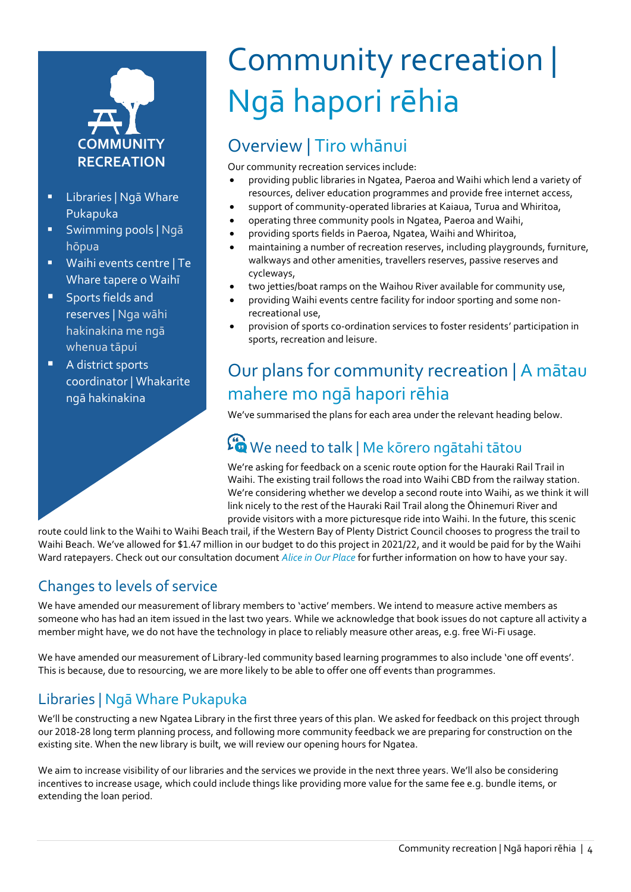# **COMMUNITY RECREATION**

- Libraries | Ngā Whare Pukapuka
- Swimming pools | Ngā hōpua
- Waihi events centre | Te Whare tapere o Waihī
- **Sports fields and** reserves | Nga wāhi hakinakina me ngā whenua tāpui
- A district sports coordinator | Whakarite ngā hakinakina

## Community recreation | Ngā hapori rēhia

## Overview | Tiro whānui

Our community recreation services include:

- providing public libraries in Ngatea, Paeroa and Waihi which lend a variety of resources, deliver education programmes and provide free internet access,
- support of community-operated libraries at Kaiaua, Turua and Whiritoa,
- operating three community pools in Ngatea, Paeroa and Waihi,
- providing sports fields in Paeroa, Ngatea, Waihi and Whiritoa,
- maintaining a number of recreation reserves, including playgrounds, furniture, walkways and other amenities, travellers reserves, passive reserves and cycleways,
- two jetties/boat ramps on the Waihou River available for community use,
- providing Waihi events centre facility for indoor sporting and some nonrecreational use,
- provision of sports co-ordination services to foster residents' participation in sports, recreation and leisure.

## Our plans for community recreation | A mātau mahere mo ngā hapori rēhia

We've summarised the plans for each area under the relevant heading below.

## $\mathcal{L}$  We need to talk | Me kōrero ngātahi tātou

We're asking for feedback on a scenic route option for the Hauraki Rail Trail in Waihi. The existing trail follows the road into Waihi CBD from the railway station. We're considering whether we develop a second route into Waihi, as we think it will link nicely to the rest of the Hauraki Rail Trail along the Ōhinemuri River and provide visitors with a more picturesque ride into Waihi. In the future, this scenic

route could link to the Waihi to Waihi Beach trail, if the Western Bay of Plenty District Council chooses to progress the trail to Waihi Beach. We've allowed for \$1.47 million in our budget to do this project in 2021/22, and it would be paid for by the Waihi Ward ratepayers. Check out our consultation document *Alice in Our Place* for further information on how to have your say.

#### Changes to levels of service

We have amended our measurement of library members to 'active' members. We intend to measure active members as someone who has had an item issued in the last two years. While we acknowledge that book issues do not capture all activity a member might have, we do not have the technology in place to reliably measure other areas, e.g. free Wi-Fi usage.

We have amended our measurement of Library-led community based learning programmes to also include 'one off events'. This is because, due to resourcing, we are more likely to be able to offer one off events than programmes.

#### Libraries | Ngā Whare Pukapuka

We'll be constructing a new Ngatea Library in the first three years of this plan. We asked for feedback on this project through our 2018-28 long term planning process, and following more community feedback we are preparing for construction on the existing site. When the new library is built, we will review our opening hours for Ngatea.

We aim to increase visibility of our libraries and the services we provide in the next three years. We'll also be considering incentives to increase usage, which could include things like providing more value for the same fee e.g. bundle items, or extending the loan period.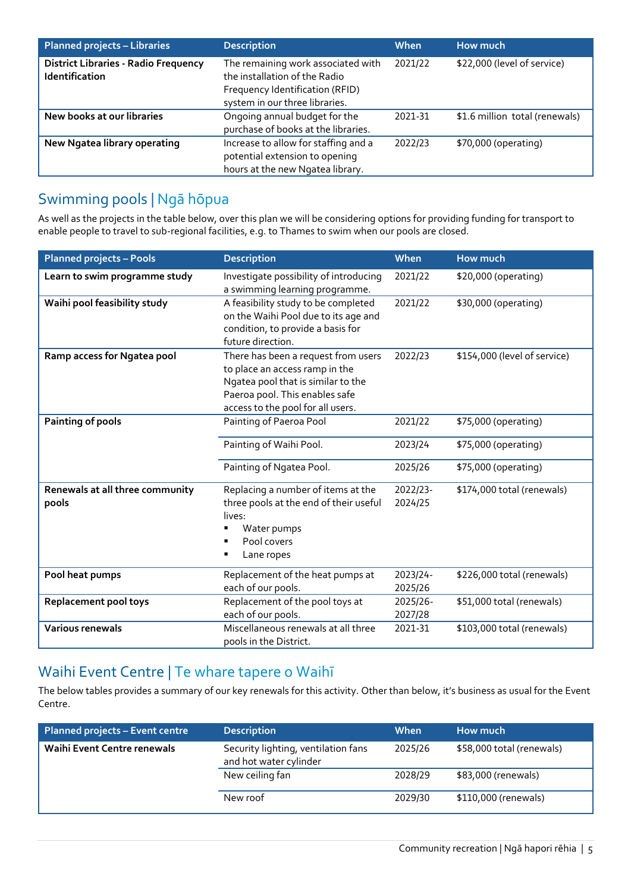| <b>Planned projects - Libraries</b>                           | <b>Description</b>                                                                                                                       | When    | How much                       |
|---------------------------------------------------------------|------------------------------------------------------------------------------------------------------------------------------------------|---------|--------------------------------|
| <b>District Libraries - Radio Frequency</b><br>Identification | The remaining work associated with<br>the installation of the Radio<br>Frequency Identification (RFID)<br>system in our three libraries. | 2021/22 | \$22,000 (level of service)    |
| New books at our libraries                                    | Ongoing annual budget for the<br>purchase of books at the libraries.                                                                     | 2021-31 | \$1.6 million total (renewals) |
| New Ngatea library operating                                  | Increase to allow for staffing and a<br>potential extension to opening<br>hours at the new Ngatea library.                               | 2022/23 | \$70,000 (operating)           |

#### Swimming pools | Ngā hōpua

As well as the projects in the table below, over this plan we will be considering options for providing funding for transport to enable people to travel to sub-regional facilities, e.g. to Thames to swim when our pools are closed.

| <b>Planned projects - Pools</b>          | <b>Description</b>                                                                                                                                                                 | When                | <b>How much</b>              |
|------------------------------------------|------------------------------------------------------------------------------------------------------------------------------------------------------------------------------------|---------------------|------------------------------|
| Learn to swim programme study            | Investigate possibility of introducing<br>a swimming learning programme.                                                                                                           | 2021/22             | \$20,000 (operating)         |
| Waihi pool feasibility study             | A feasibility study to be completed<br>on the Waihi Pool due to its age and<br>condition, to provide a basis for<br>future direction.                                              | 2021/22             | \$30,000 (operating)         |
| Ramp access for Ngatea pool              | There has been a request from users<br>to place an access ramp in the<br>Ngatea pool that is similar to the<br>Paeroa pool. This enables safe<br>access to the pool for all users. | 2022/23             | \$154,000 (level of service) |
| <b>Painting of pools</b>                 | Painting of Paeroa Pool                                                                                                                                                            | 2021/22             | \$75,000 (operating)         |
|                                          | Painting of Waihi Pool.                                                                                                                                                            | 2023/24             | \$75,000 (operating)         |
|                                          | Painting of Ngatea Pool.                                                                                                                                                           | 2025/26             | \$75,000 (operating)         |
| Renewals at all three community<br>pools | Replacing a number of items at the<br>three pools at the end of their useful<br>lives:<br>Water pumps<br>Pool covers<br>Lane ropes                                                 | 2022/23-<br>2024/25 | \$174,000 total (renewals)   |
| Pool heat pumps                          | Replacement of the heat pumps at<br>each of our pools.                                                                                                                             | 2023/24-<br>2025/26 | \$226,000 total (renewals)   |
| Replacement pool toys                    | Replacement of the pool toys at<br>each of our pools.                                                                                                                              | 2025/26-<br>2027/28 | \$51,000 total (renewals)    |
| <b>Various renewals</b>                  | Miscellaneous renewals at all three<br>pools in the District.                                                                                                                      | 2021-31             | \$103,000 total (renewals)   |

#### Waihi Event Centre | Te whare tapere o Waihī

The below tables provides a summary of our key renewals for this activity. Other than below, it's business as usual for the Event Centre.

| <b>Planned projects - Event centre</b> | <b>Description</b>                                            | When    | How much                  |
|----------------------------------------|---------------------------------------------------------------|---------|---------------------------|
| Waihi Event Centre renewals            | Security lighting, ventilation fans<br>and hot water cylinder | 2025/26 | \$58,000 total (renewals) |
|                                        | New ceiling fan                                               | 2028/29 | \$83,000 (renewals)       |
|                                        | New roof                                                      | 2029/30 | \$110,000 (renewals)      |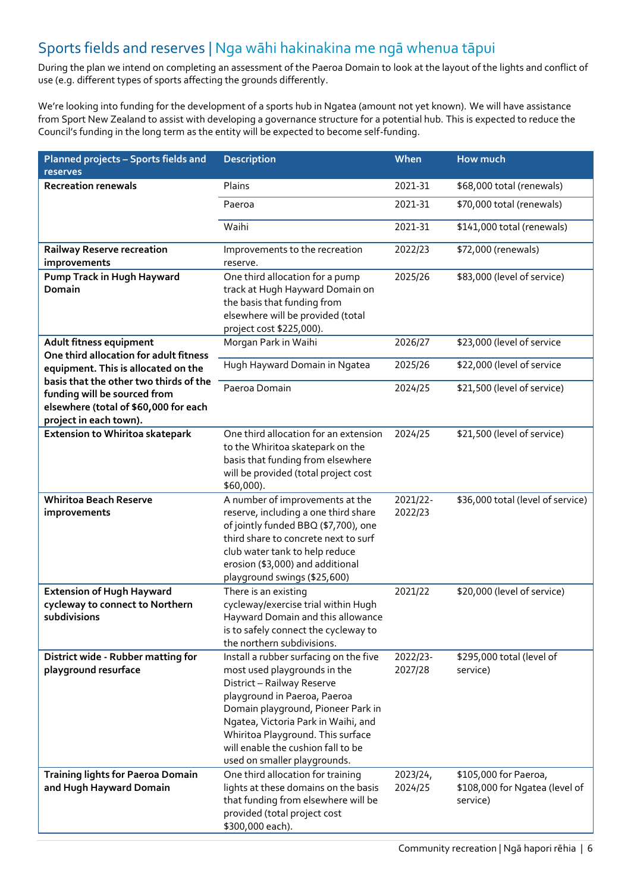#### Sports fields and reserves | Nga wāhi hakinakina me ngā whenua tāpui

During the plan we intend on completing an assessment of the Paeroa Domain to look at the layout of the lights and conflict of use (e.g. different types of sports affecting the grounds differently.

We're looking into funding for the development of a sports hub in Ngatea (amount not yet known). We will have assistance from Sport New Zealand to assist with developing a governance structure for a potential hub. This is expected to reduce the Council's funding in the long term as the entity will be expected to become self-funding.

| Planned projects - Sports fields and<br>reserves                                                                | <b>Description</b>                                                                                                                                                                                                                                                                                                           | When                | How much                                                            |
|-----------------------------------------------------------------------------------------------------------------|------------------------------------------------------------------------------------------------------------------------------------------------------------------------------------------------------------------------------------------------------------------------------------------------------------------------------|---------------------|---------------------------------------------------------------------|
| <b>Recreation renewals</b>                                                                                      | Plains                                                                                                                                                                                                                                                                                                                       | 2021-31             | \$68,000 total (renewals)                                           |
|                                                                                                                 | Paeroa                                                                                                                                                                                                                                                                                                                       | 2021-31             | \$70,000 total (renewals)                                           |
|                                                                                                                 | Waihi                                                                                                                                                                                                                                                                                                                        | 2021-31             | \$141,000 total (renewals)                                          |
| <b>Railway Reserve recreation</b><br>improvements                                                               | Improvements to the recreation<br>reserve.                                                                                                                                                                                                                                                                                   | 2022/23             | \$72,000 (renewals)                                                 |
| Pump Track in Hugh Hayward<br><b>Domain</b>                                                                     | One third allocation for a pump<br>track at Hugh Hayward Domain on<br>the basis that funding from<br>elsewhere will be provided (total<br>project cost \$225,000).                                                                                                                                                           | 2025/26             | \$83,000 (level of service)                                         |
| Adult fitness equipment<br>One third allocation for adult fitness                                               | Morgan Park in Waihi                                                                                                                                                                                                                                                                                                         | 2026/27             | \$23,000 (level of service                                          |
| equipment. This is allocated on the                                                                             | Hugh Hayward Domain in Ngatea                                                                                                                                                                                                                                                                                                | 2025/26             | \$22,000 (level of service                                          |
| basis that the other two thirds of the<br>funding will be sourced from<br>elsewhere (total of \$60,000 for each | Paeroa Domain                                                                                                                                                                                                                                                                                                                | 2024/25             | \$21,500 (level of service)                                         |
| project in each town).<br>Extension to Whiritoa skatepark                                                       | One third allocation for an extension                                                                                                                                                                                                                                                                                        | 2024/25             | \$21,500 (level of service)                                         |
|                                                                                                                 | to the Whiritoa skatepark on the<br>basis that funding from elsewhere<br>will be provided (total project cost<br>\$60,000).                                                                                                                                                                                                  |                     |                                                                     |
| <b>Whiritoa Beach Reserve</b>                                                                                   | A number of improvements at the                                                                                                                                                                                                                                                                                              | 2021/22-            | \$36,000 total (level of service)                                   |
| improvements                                                                                                    | reserve, including a one third share<br>of jointly funded BBQ (\$7,700), one<br>third share to concrete next to surf<br>club water tank to help reduce<br>erosion (\$3,000) and additional<br>playground swings (\$25,600)                                                                                                   | 2022/23             |                                                                     |
| <b>Extension of Hugh Hayward</b><br>cycleway to connect to Northern<br>subdivisions                             | There is an existing<br>cycleway/exercise trial within Hugh<br>Hayward Domain and this allowance<br>is to safely connect the cycleway to<br>the northern subdivisions.                                                                                                                                                       | 2021/22             | \$20,000 (level of service)                                         |
| District wide - Rubber matting for<br>playground resurface                                                      | Install a rubber surfacing on the five<br>most used playgrounds in the<br>District - Railway Reserve<br>playground in Paeroa, Paeroa<br>Domain playground, Pioneer Park in<br>Ngatea, Victoria Park in Waihi, and<br>Whiritoa Playground. This surface<br>will enable the cushion fall to be<br>used on smaller playgrounds. | 2022/23-<br>2027/28 | \$295,000 total (level of<br>service)                               |
| Training lights for Paeroa Domain<br>and Hugh Hayward Domain                                                    | One third allocation for training<br>lights at these domains on the basis<br>that funding from elsewhere will be<br>provided (total project cost<br>\$300,000 each).                                                                                                                                                         | 2023/24,<br>2024/25 | \$105,000 for Paeroa,<br>\$108,000 for Ngatea (level of<br>service) |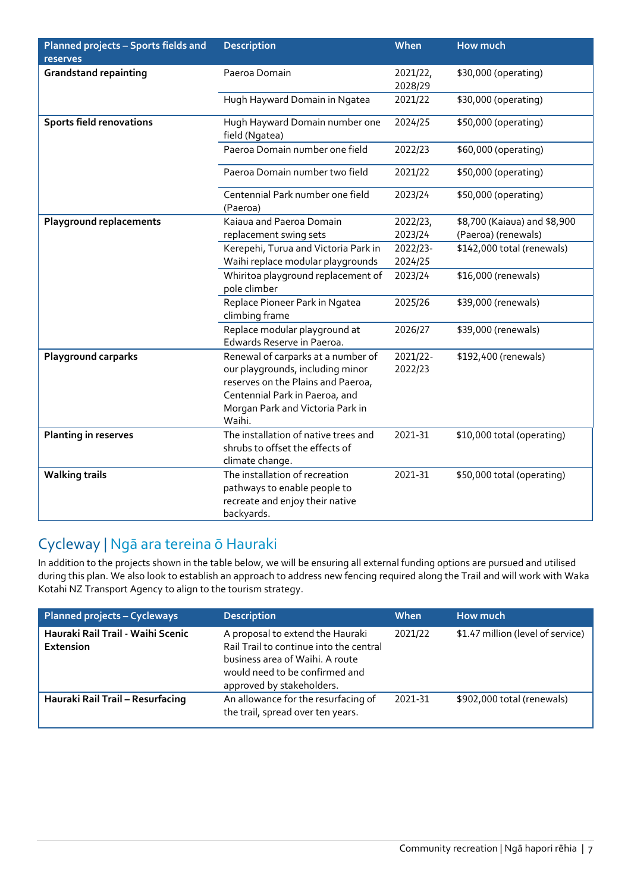| Planned projects - Sports fields and | <b>Description</b>                                                                                                                                                                           | When                | How much                     |
|--------------------------------------|----------------------------------------------------------------------------------------------------------------------------------------------------------------------------------------------|---------------------|------------------------------|
| reserves                             |                                                                                                                                                                                              |                     |                              |
| <b>Grandstand repainting</b>         | Paeroa Domain                                                                                                                                                                                | 2021/22,            | \$30,000 (operating)         |
|                                      |                                                                                                                                                                                              | 2028/29             |                              |
|                                      | Hugh Hayward Domain in Ngatea                                                                                                                                                                | 2021/22             | \$30,000 (operating)         |
| <b>Sports field renovations</b>      | Hugh Hayward Domain number one<br>field (Ngatea)                                                                                                                                             | 2024/25             | \$50,000 (operating)         |
|                                      | Paeroa Domain number one field                                                                                                                                                               | 2022/23             | \$60,000 (operating)         |
|                                      | Paeroa Domain number two field                                                                                                                                                               | 2021/22             | \$50,000 (operating)         |
|                                      | Centennial Park number one field<br>(Paeroa)                                                                                                                                                 | 2023/24             | \$50,000 (operating)         |
| <b>Playground replacements</b>       | Kajaua and Paeroa Domain                                                                                                                                                                     | 2022/23,            | \$8,700 (Kaiaua) and \$8,900 |
|                                      | replacement swing sets                                                                                                                                                                       | 2023/24             | (Paeroa) (renewals)          |
|                                      | Kerepehi, Turua and Victoria Park in                                                                                                                                                         | 2022/23-            | \$142,000 total (renewals)   |
|                                      | Waihi replace modular playgrounds                                                                                                                                                            | 2024/25             |                              |
|                                      | Whiritoa playground replacement of<br>pole climber                                                                                                                                           | 2023/24             | \$16,000 (renewals)          |
|                                      | Replace Pioneer Park in Ngatea<br>climbing frame                                                                                                                                             | 2025/26             | \$39,000 (renewals)          |
|                                      | Replace modular playground at<br>Edwards Reserve in Paeroa.                                                                                                                                  | 2026/27             | \$39,000 (renewals)          |
| <b>Playground carparks</b>           | Renewal of carparks at a number of<br>our playgrounds, including minor<br>reserves on the Plains and Paeroa,<br>Centennial Park in Paeroa, and<br>Morgan Park and Victoria Park in<br>Waihi. | 2021/22-<br>2022/23 | \$192,400 (renewals)         |
| <b>Planting in reserves</b>          | The installation of native trees and<br>shrubs to offset the effects of<br>climate change.                                                                                                   | 2021-31             | \$10,000 total (operating)   |
| <b>Walking trails</b>                | The installation of recreation<br>pathways to enable people to<br>recreate and enjoy their native<br>backyards.                                                                              | 2021-31             | \$50,000 total (operating)   |

#### Cycleway | Ngā ara tereina ō Hauraki

In addition to the projects shown in the table below, we will be ensuring all external funding options are pursued and utilised during this plan. We also look to establish an approach to address new fencing required along the Trail and will work with Waka Kotahi NZ Transport Agency to align to the tourism strategy.

| <b>Planned projects - Cycleways</b>            | <b>Description</b>                                                                                                                                                            | When    | How much                          |
|------------------------------------------------|-------------------------------------------------------------------------------------------------------------------------------------------------------------------------------|---------|-----------------------------------|
| Hauraki Rail Trail - Waihi Scenic<br>Extension | A proposal to extend the Hauraki<br>Rail Trail to continue into the central<br>business area of Waihi. A route<br>would need to be confirmed and<br>approved by stakeholders. | 2021/22 | \$1.47 million (level of service) |
| Hauraki Rail Trail - Resurfacing               | An allowance for the resurfacing of<br>the trail, spread over ten years.                                                                                                      | 2021-31 | \$902,000 total (renewals)        |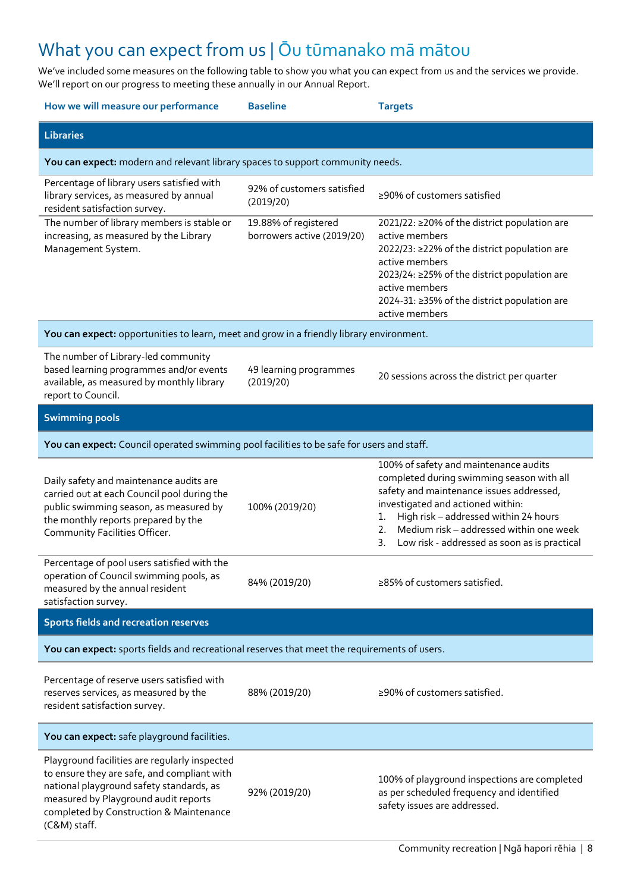## What you can expect from us | Ōu tūmanako mā mātou

We've included some measures on the following table to show you what you can expect from us and the services we provide. We'll report on our progress to meeting these annually in our Annual Report.

| How we will measure our performance                                                                                                                                                                                                         | <b>Baseline</b>                                    | <b>Targets</b>                                                                                                                                                                                                                                                                                                            |
|---------------------------------------------------------------------------------------------------------------------------------------------------------------------------------------------------------------------------------------------|----------------------------------------------------|---------------------------------------------------------------------------------------------------------------------------------------------------------------------------------------------------------------------------------------------------------------------------------------------------------------------------|
| <b>Libraries</b>                                                                                                                                                                                                                            |                                                    |                                                                                                                                                                                                                                                                                                                           |
| You can expect: modern and relevant library spaces to support community needs.                                                                                                                                                              |                                                    |                                                                                                                                                                                                                                                                                                                           |
| Percentage of library users satisfied with<br>library services, as measured by annual<br>resident satisfaction survey.                                                                                                                      | 92% of customers satisfied<br>(2019/20)            | ≥90% of customers satisfied                                                                                                                                                                                                                                                                                               |
| The number of library members is stable or<br>increasing, as measured by the Library<br>Management System.                                                                                                                                  | 19.88% of registered<br>borrowers active (2019/20) | 2021/22: ≥20% of the district population are<br>active members<br>2022/23: ≥22% of the district population are<br>active members<br>2023/24: ≥25% of the district population are<br>active members<br>2024-31: ≥35% of the district population are<br>active members                                                      |
| You can expect: opportunities to learn, meet and grow in a friendly library environment.                                                                                                                                                    |                                                    |                                                                                                                                                                                                                                                                                                                           |
| The number of Library-led community<br>based learning programmes and/or events<br>available, as measured by monthly library<br>report to Council.                                                                                           | 49 learning programmes<br>(2019/20)                | 20 sessions across the district per quarter                                                                                                                                                                                                                                                                               |
| <b>Swimming pools</b>                                                                                                                                                                                                                       |                                                    |                                                                                                                                                                                                                                                                                                                           |
| You can expect: Council operated swimming pool facilities to be safe for users and staff.                                                                                                                                                   |                                                    |                                                                                                                                                                                                                                                                                                                           |
| Daily safety and maintenance audits are<br>carried out at each Council pool during the<br>public swimming season, as measured by<br>the monthly reports prepared by the<br>Community Facilities Officer.                                    | 100% (2019/20)                                     | 100% of safety and maintenance audits<br>completed during swimming season with all<br>safety and maintenance issues addressed,<br>investigated and actioned within:<br>High risk - addressed within 24 hours<br>1.<br>Medium risk - addressed within one week<br>2.<br>3.<br>Low risk - addressed as soon as is practical |
| Percentage of pool users satisfied with the<br>operation of Council swimming pools, as<br>measured by the annual resident<br>satisfaction survey.                                                                                           | 84% (2019/20)                                      | ≥85% of customers satisfied.                                                                                                                                                                                                                                                                                              |
| Sports fields and recreation reserves                                                                                                                                                                                                       |                                                    |                                                                                                                                                                                                                                                                                                                           |
| You can expect: sports fields and recreational reserves that meet the requirements of users.                                                                                                                                                |                                                    |                                                                                                                                                                                                                                                                                                                           |
| Percentage of reserve users satisfied with<br>reserves services, as measured by the<br>resident satisfaction survey.                                                                                                                        | 88% (2019/20)                                      | ≥90% of customers satisfied.                                                                                                                                                                                                                                                                                              |
| You can expect: safe playground facilities.                                                                                                                                                                                                 |                                                    |                                                                                                                                                                                                                                                                                                                           |
| Playground facilities are regularly inspected<br>to ensure they are safe, and compliant with<br>national playground safety standards, as<br>measured by Playground audit reports<br>completed by Construction & Maintenance<br>(C&M) staff. | 92% (2019/20)                                      | 100% of playground inspections are completed<br>as per scheduled frequency and identified<br>safety issues are addressed.                                                                                                                                                                                                 |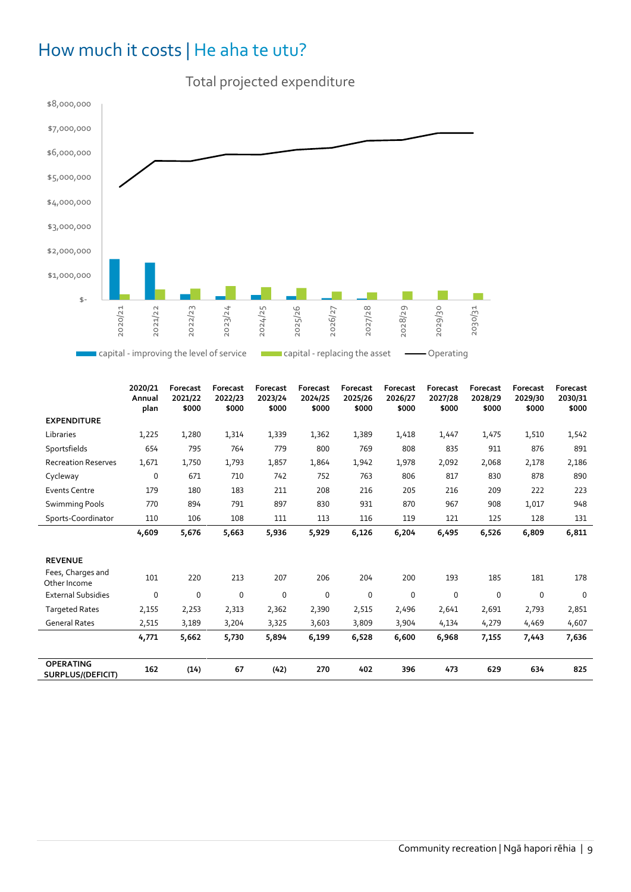## How much it costs | He aha te utu?



|                                              | 2020/21<br>Annual<br>plan | <b>Forecast</b><br>2021/22<br>\$000 | Forecast<br>2022/23<br>\$000 | Forecast<br>2023/24<br>\$000 | Forecast<br>2024/25<br>\$000 | Forecast<br>2025/26<br>\$000 | Forecast<br>2026/27<br>\$000 | Forecast<br>2027/28<br>\$000 | Forecast<br>2028/29<br>\$000 | Forecast<br>2029/30<br>\$000 | Forecast<br>2030/31<br>\$000 |
|----------------------------------------------|---------------------------|-------------------------------------|------------------------------|------------------------------|------------------------------|------------------------------|------------------------------|------------------------------|------------------------------|------------------------------|------------------------------|
| <b>EXPENDITURE</b>                           |                           |                                     |                              |                              |                              |                              |                              |                              |                              |                              |                              |
| Libraries                                    | 1,225                     | 1,280                               | 1,314                        | 1,339                        | 1,362                        | 1,389                        | 1,418                        | 1,447                        | 1,475                        | 1,510                        | 1,542                        |
| Sportsfields                                 | 654                       | 795                                 | 764                          | 779                          | 800                          | 769                          | 808                          | 835                          | 911                          | 876                          | 891                          |
| <b>Recreation Reserves</b>                   | 1,671                     | 1,750                               | 1,793                        | 1,857                        | 1,864                        | 1,942                        | 1,978                        | 2,092                        | 2,068                        | 2,178                        | 2,186                        |
| Cycleway                                     | 0                         | 671                                 | 710                          | 742                          | 752                          | 763                          | 806                          | 817                          | 830                          | 878                          | 890                          |
| <b>Events Centre</b>                         | 179                       | 180                                 | 183                          | 211                          | 208                          | 216                          | 205                          | 216                          | 209                          | 222                          | 223                          |
| <b>Swimming Pools</b>                        | 770                       | 894                                 | 791                          | 897                          | 830                          | 931                          | 870                          | 967                          | 908                          | 1,017                        | 948                          |
| Sports-Coordinator                           | 110                       | 106                                 | 108                          | 111                          | 113                          | 116                          | 119                          | 121                          | 125                          | 128                          | 131                          |
|                                              | 4,609                     | 5,676                               | 5,663                        | 5,936                        | 5,929                        | 6,126                        | 6,204                        | 6,495                        | 6,526                        | 6,809                        | 6,811                        |
| <b>REVENUE</b>                               |                           |                                     |                              |                              |                              |                              |                              |                              |                              |                              |                              |
| Fees, Charges and<br>Other Income            | 101                       | 220                                 | 213                          | 207                          | 206                          | 204                          | 200                          | 193                          | 185                          | 181                          | 178                          |
| <b>External Subsidies</b>                    | 0                         | 0                                   | 0                            | 0                            | 0                            | 0                            | 0                            | 0                            | 0                            | 0                            | $\mathbf 0$                  |
| <b>Targeted Rates</b>                        | 2,155                     | 2,253                               | 2,313                        | 2,362                        | 2,390                        | 2,515                        | 2,496                        | 2,641                        | 2,691                        | 2,793                        | 2,851                        |
| <b>General Rates</b>                         | 2,515                     | 3,189                               | 3,204                        | 3,325                        | 3,603                        | 3,809                        | 3,904                        | 4,134                        | 4,279                        | 4,469                        | 4,607                        |
|                                              | 4,771                     | 5,662                               | 5,730                        | 5,894                        | 6,199                        | 6,528                        | 6,600                        | 6,968                        | 7,155                        | 7,443                        | 7,636                        |
| <b>OPERATING</b><br><b>SURPLUS/(DEFICIT)</b> | 162                       | (14)                                | 67                           | (42)                         | 270                          | 402                          | 396                          | 473                          | 629                          | 634                          | 825                          |

#### Total projected expenditure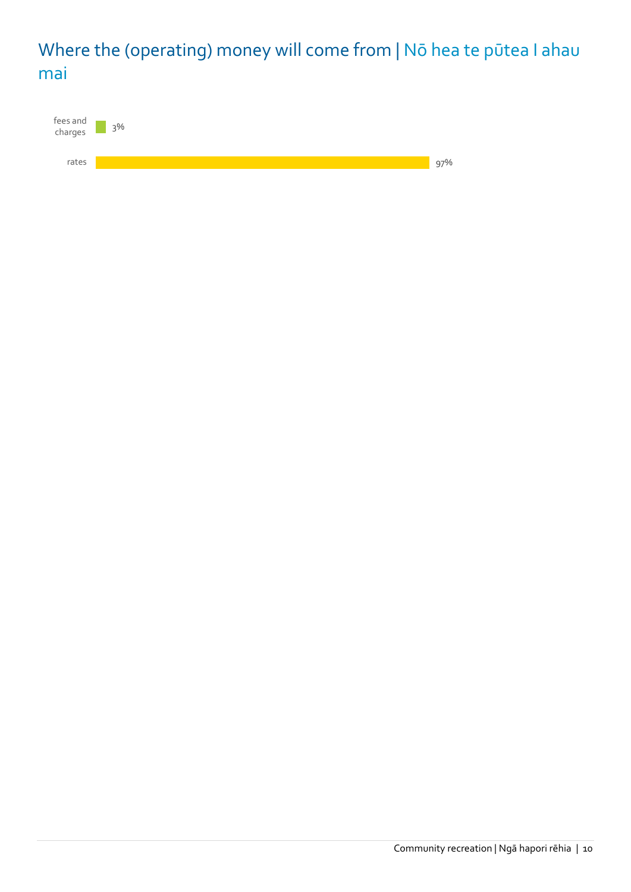## Where the (operating) money will come from | Nō hea te pūtea I ahau mai

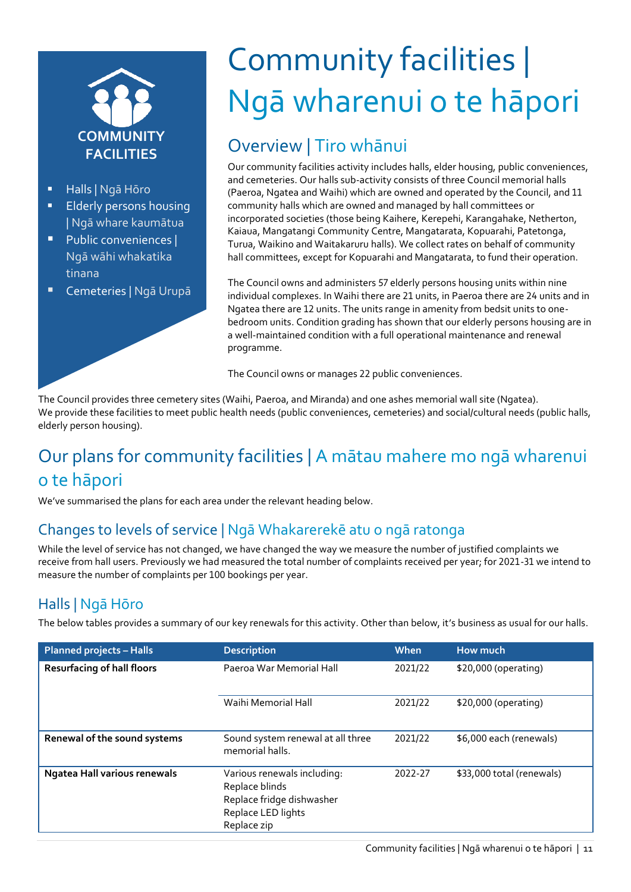

- Halls | Ngā Hōro
- Elderly persons housing | Ngā whare kaumātua
- **Public conveniences |** Ngā wāhi whakatika tinana
- Cemeteries | Ngā Urupā

## Community facilities | Ngā wharenui o te hāpori

## Overview | Tiro whānui

Our community facilities activity includes halls, elder housing, public conveniences, and cemeteries. Our halls sub-activity consists of three Council memorial halls (Paeroa, Ngatea and Waihi) which are owned and operated by the Council, and 11 community halls which are owned and managed by hall committees or incorporated societies (those being Kaihere, Kerepehi, Karangahake, Netherton, Kaiaua, Mangatangi Community Centre, Mangatarata, Kopuarahi, Patetonga, Turua, Waikino and Waitakaruru halls). We collect rates on behalf of community hall committees, except for Kopuarahi and Mangatarata, to fund their operation.

The Council owns and administers 57 elderly persons housing units within nine individual complexes. In Waihi there are 21 units, in Paeroa there are 24 units and in Ngatea there are 12 units. The units range in amenity from bedsit units to onebedroom units. Condition grading has shown that our elderly persons housing are in a well-maintained condition with a full operational maintenance and renewal programme.

The Council owns or manages 22 public conveniences.

The Council provides three cemetery sites (Waihi, Paeroa, and Miranda) and one ashes memorial wall site (Ngatea). We provide these facilities to meet public health needs (public conveniences, cemeteries) and social/cultural needs (public halls, elderly person housing).

## Our plans for community facilities | A mātau mahere mo ngā wharenui o te hāpori

We've summarised the plans for each area under the relevant heading below.

#### Changes to levels of service | Ngā Whakarerekē atu o ngā ratonga

While the level of service has not changed, we have changed the way we measure the number of justified complaints we receive from hall users. Previously we had measured the total number of complaints received per year; for 2021-31 we intend to measure the number of complaints per 100 bookings per year.

#### Halls | Ngā Hōro

The below tables provides a summary of our key renewals for this activity. Other than below, it's business as usual for our halls.

| <b>Planned projects - Halls</b>     | <b>Description</b>                                                                                              | When    | How much                  |
|-------------------------------------|-----------------------------------------------------------------------------------------------------------------|---------|---------------------------|
| <b>Resurfacing of hall floors</b>   | Paeroa War Memorial Hall                                                                                        | 2021/22 | \$20,000 (operating)      |
|                                     | Waihi Memorial Hall                                                                                             | 2021/22 | \$20,000 (operating)      |
| Renewal of the sound systems        | Sound system renewal at all three<br>memorial halls.                                                            | 2021/22 | \$6,000 each (renewals)   |
| <b>Ngatea Hall various renewals</b> | Various renewals including:<br>Replace blinds<br>Replace fridge dishwasher<br>Replace LED lights<br>Replace zip | 2022-27 | \$33,000 total (renewals) |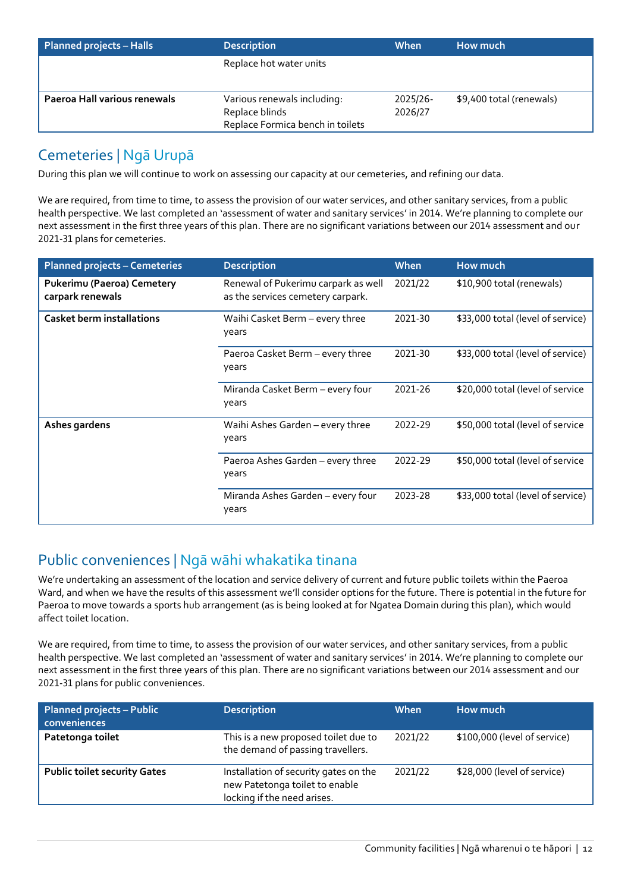| <b>Planned projects - Halls</b> | <b>Description</b>               | When     | How much                 |  |  |
|---------------------------------|----------------------------------|----------|--------------------------|--|--|
|                                 | Replace hot water units          |          |                          |  |  |
|                                 |                                  |          |                          |  |  |
| Paeroa Hall various renewals    | Various renewals including:      | 2025/26- | \$9,400 total (renewals) |  |  |
|                                 | Replace blinds                   | 2026/27  |                          |  |  |
|                                 | Replace Formica bench in toilets |          |                          |  |  |

#### Cemeteries | Ngā Urupā

During this plan we will continue to work on assessing our capacity at our cemeteries, and refining our data.

We are required, from time to time, to assess the provision of our water services, and other sanitary services, from a public health perspective. We last completed an 'assessment of water and sanitary services' in 2014. We're planning to complete our next assessment in the first three years of this plan. There are no significant variations between our 2014 assessment and our 2021-31 plans for cemeteries.

| <b>Planned projects - Cemeteries</b>           | <b>Description</b>                                                       | When    | How much                          |  |  |
|------------------------------------------------|--------------------------------------------------------------------------|---------|-----------------------------------|--|--|
| Pukerimu (Paeroa) Cemetery<br>carpark renewals | Renewal of Pukerimu carpark as well<br>as the services cemetery carpark. | 2021/22 | \$10,900 total (renewals)         |  |  |
| <b>Casket berm installations</b>               | Waihi Casket Berm - every three<br>years                                 | 2021-30 | \$33,000 total (level of service) |  |  |
|                                                | Paeroa Casket Berm – every three<br>years                                | 2021-30 | \$33,000 total (level of service) |  |  |
|                                                | Miranda Casket Berm - every four<br>years                                | 2021-26 | \$20,000 total (level of service  |  |  |
| Ashes gardens                                  | Waihi Ashes Garden - every three<br>years                                | 2022-29 | \$50,000 total (level of service  |  |  |
|                                                | Paeroa Ashes Garden – every three<br>years                               | 2022-29 | \$50,000 total (level of service  |  |  |
|                                                | Miranda Ashes Garden - every four<br>years                               | 2023-28 | \$33,000 total (level of service) |  |  |

#### Public conveniences | Ngā wāhi whakatika tinana

We're undertaking an assessment of the location and service delivery of current and future public toilets within the Paeroa Ward, and when we have the results of this assessment we'll consider options for the future. There is potential in the future for Paeroa to move towards a sports hub arrangement (as is being looked at for Ngatea Domain during this plan), which would affect toilet location.

We are required, from time to time, to assess the provision of our water services, and other sanitary services, from a public health perspective. We last completed an 'assessment of water and sanitary services' in 2014. We're planning to complete our next assessment in the first three years of this plan. There are no significant variations between our 2014 assessment and our 2021-31 plans for public conveniences.

| <b>Planned projects - Public</b><br>conveniences | <b>Description</b>                                                                                     | When    | How much                     |
|--------------------------------------------------|--------------------------------------------------------------------------------------------------------|---------|------------------------------|
| Patetonga toilet                                 | This is a new proposed toilet due to<br>the demand of passing travellers.                              | 2021/22 | \$100,000 (level of service) |
| <b>Public toilet security Gates</b>              | Installation of security gates on the<br>new Patetonga toilet to enable<br>locking if the need arises. | 2021/22 | \$28,000 (level of service)  |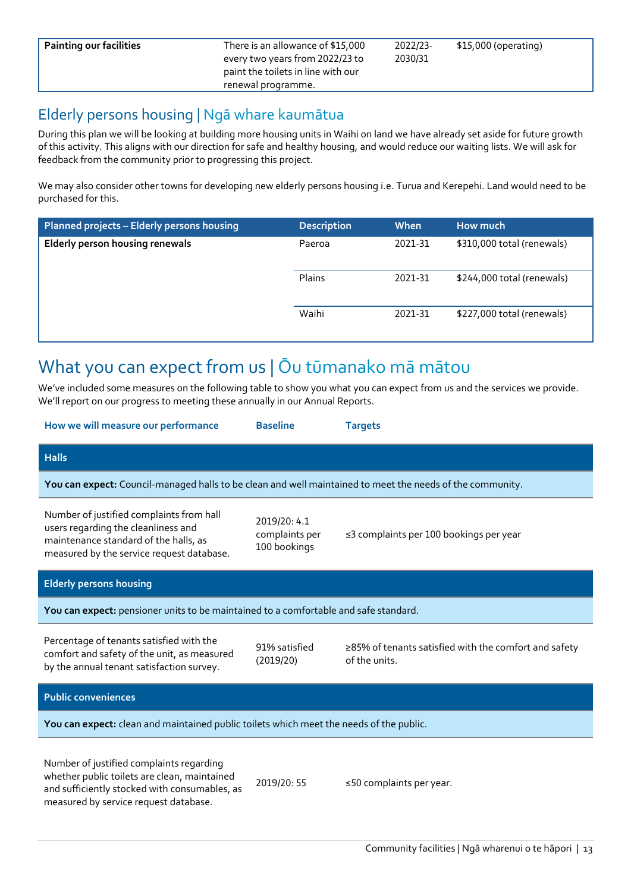**Painting our facilities** There is an allowance of \$15,000 every two years from 2022/23 to paint the toilets in line with our renewal programme.

2022/23- 2030/31

#### Elderly persons housing | Ngā whare kaumātua

During this plan we will be looking at building more housing units in Waihi on land we have already set aside for future growth of this activity. This aligns with our direction for safe and healthy housing, and would reduce our waiting lists. We will ask for feedback from the community prior to progressing this project.

We may also consider other towns for developing new elderly persons housing i.e. Turua and Kerepehi. Land would need to be purchased for this.

| Planned projects - Elderly persons housing | <b>Description</b> | When    | How much                   |  |  |
|--------------------------------------------|--------------------|---------|----------------------------|--|--|
| Elderly person housing renewals            | Paeroa             | 2021-31 | \$310,000 total (renewals) |  |  |
|                                            | <b>Plains</b>      | 2021-31 | \$244,000 total (renewals) |  |  |
|                                            | Waihi              | 2021-31 | \$227,000 total (renewals) |  |  |

## What you can expect from us | Ōu tūmanako mā mātou

We've included some measures on the following table to show you what you can expect from us and the services we provide. We'll report on our progress to meeting these annually in our Annual Reports.

| How we will measure our performance                                                                                                                                                | <b>Baseline</b>                                | <b>Targets</b>                                                         |  |  |  |  |  |  |
|------------------------------------------------------------------------------------------------------------------------------------------------------------------------------------|------------------------------------------------|------------------------------------------------------------------------|--|--|--|--|--|--|
| <b>Halls</b>                                                                                                                                                                       |                                                |                                                                        |  |  |  |  |  |  |
| You can expect: Council-managed halls to be clean and well maintained to meet the needs of the community.                                                                          |                                                |                                                                        |  |  |  |  |  |  |
| Number of justified complaints from hall<br>users regarding the cleanliness and<br>maintenance standard of the halls, as<br>measured by the service request database.              | 2019/20: 4.1<br>complaints per<br>100 bookings | ≤3 complaints per 100 bookings per year                                |  |  |  |  |  |  |
| <b>Elderly persons housing</b>                                                                                                                                                     |                                                |                                                                        |  |  |  |  |  |  |
| You can expect: pensioner units to be maintained to a comfortable and safe standard.                                                                                               |                                                |                                                                        |  |  |  |  |  |  |
| Percentage of tenants satisfied with the<br>comfort and safety of the unit, as measured<br>by the annual tenant satisfaction survey.                                               | 91% satisfied<br>(2019/20)                     | ≥85% of tenants satisfied with the comfort and safety<br>of the units. |  |  |  |  |  |  |
| <b>Public conveniences</b>                                                                                                                                                         |                                                |                                                                        |  |  |  |  |  |  |
| You can expect: clean and maintained public toilets which meet the needs of the public.                                                                                            |                                                |                                                                        |  |  |  |  |  |  |
| Number of justified complaints regarding<br>whether public toilets are clean, maintained<br>and sufficiently stocked with consumables, as<br>measured by service request database. | 2019/20: 55                                    | ≤50 complaints per year.                                               |  |  |  |  |  |  |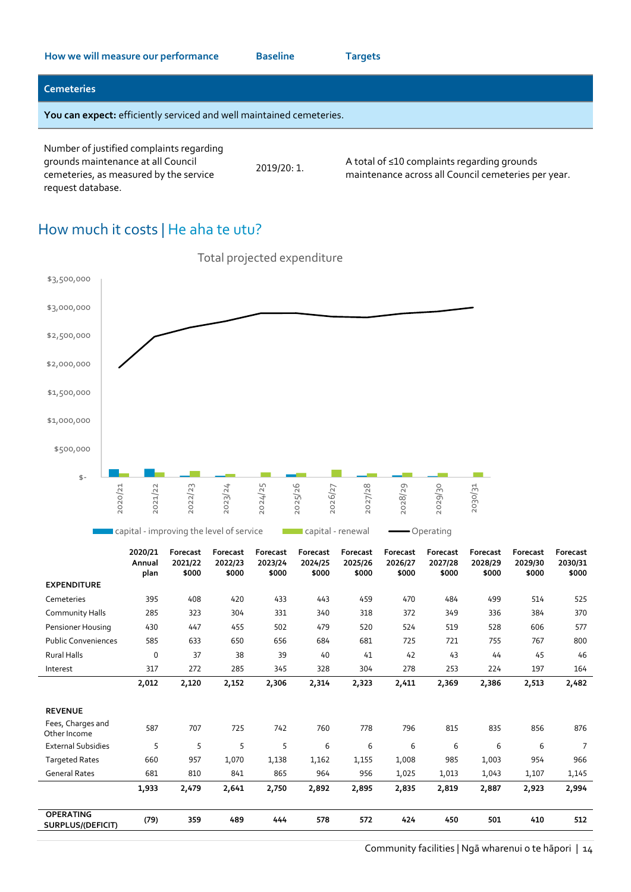#### **Cemeteries**

**You can expect:** efficiently serviced and well maintained cemeteries.

Number of justified complaints regarding grounds maintenance at all Council cemeteries, as measured by the service request database.

2019/20: 1.

A total of ≤10 complaints regarding grounds maintenance across all Council cemeteries per year.

#### How much it costs | He aha te utu?



|                                       | 2020/21<br>Annual<br>plan | Forecast<br>2021/22<br>\$000 | Forecast<br>2022/23<br>\$000 | Forecast<br>2023/24<br>\$000 | Forecast<br>2024/25<br>\$000 | Forecast<br>2025/26<br>\$000 | Forecast<br>2026/27<br>\$000 | Forecast<br>2027/28<br>\$000 | Forecast<br>2028/29<br>\$000 | Forecast<br>2029/30<br>\$000 | <b>Forecast</b><br>2030/31<br>\$000 |
|---------------------------------------|---------------------------|------------------------------|------------------------------|------------------------------|------------------------------|------------------------------|------------------------------|------------------------------|------------------------------|------------------------------|-------------------------------------|
| <b>EXPENDITURE</b>                    |                           |                              |                              |                              |                              |                              |                              |                              |                              |                              |                                     |
| Cemeteries                            | 395                       | 408                          | 420                          | 433                          | 443                          | 459                          | 470                          | 484                          | 499                          | 514                          | 525                                 |
| <b>Community Halls</b>                | 285                       | 323                          | 304                          | 331                          | 340                          | 318                          | 372                          | 349                          | 336                          | 384                          | 370                                 |
| Pensioner Housing                     | 430                       | 447                          | 455                          | 502                          | 479                          | 520                          | 524                          | 519                          | 528                          | 606                          | 577                                 |
| <b>Public Conveniences</b>            | 585                       | 633                          | 650                          | 656                          | 684                          | 681                          | 725                          | 721                          | 755                          | 767                          | 800                                 |
| <b>Rural Halls</b>                    | $\Omega$                  | 37                           | 38                           | 39                           | 40                           | 41                           | 42                           | 43                           | 44                           | 45                           | 46                                  |
| Interest                              | 317                       | 272                          | 285                          | 345                          | 328                          | 304                          | 278                          | 253                          | 224                          | 197                          | 164                                 |
|                                       | 2,012                     | 2,120                        | 2,152                        | 2,306                        | 2,314                        | 2,323                        | 2,411                        | 2,369                        | 2,386                        | 2,513                        | 2,482                               |
| <b>REVENUE</b>                        |                           |                              |                              |                              |                              |                              |                              |                              |                              |                              |                                     |
| Fees, Charges and<br>Other Income     | 587                       | 707                          | 725                          | 742                          | 760                          | 778                          | 796                          | 815                          | 835                          | 856                          | 876                                 |
| <b>External Subsidies</b>             | 5                         | 5                            | 5                            | 5                            | 6                            | 6                            | 6                            | 6                            | 6                            | 6                            | $\overline{7}$                      |
| <b>Targeted Rates</b>                 | 660                       | 957                          | 1,070                        | 1,138                        | 1,162                        | 1,155                        | 1,008                        | 985                          | 1,003                        | 954                          | 966                                 |
| <b>General Rates</b>                  | 681                       | 810                          | 841                          | 865                          | 964                          | 956                          | 1,025                        | 1,013                        | 1,043                        | 1,107                        | 1,145                               |
|                                       | 1,933                     | 2,479                        | 2,641                        | 2,750                        | 2,892                        | 2,895                        | 2,835                        | 2,819                        | 2,887                        | 2,923                        | 2,994                               |
| <b>OPERATING</b><br>SURPLUS/(DEFICIT) | (79)                      | 359                          | 489                          | 444                          | 578                          | 572                          | 424                          | 450                          | 501                          | 410                          | 512                                 |